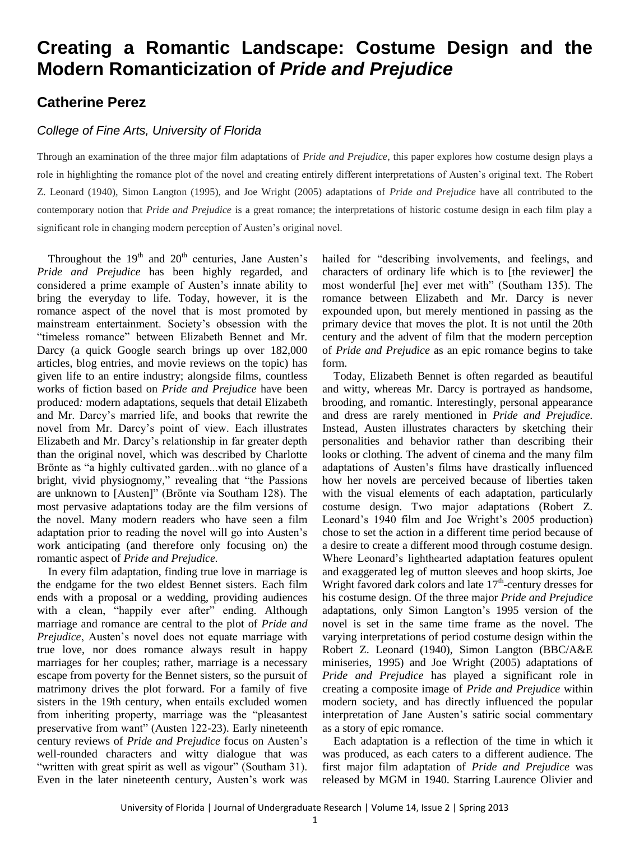## **Creating a Romantic Landscape: Costume Design and the Modern Romanticization of** *Pride and Prejudice*

## **Catherine Perez**

## *College of Fine Arts, University of Florida*

Through an examination of the three major film adaptations of *Pride and Prejudice*, this paper explores how costume design plays a role in highlighting the romance plot of the novel and creating entirely different interpretations of Austen's original text. The Robert Z. Leonard (1940), Simon Langton (1995), and Joe Wright (2005) adaptations of *Pride and Prejudice* have all contributed to the contemporary notion that *Pride and Prejudice* is a great romance; the interpretations of historic costume design in each film play a significant role in changing modern perception of Austen's original novel.

Throughout the  $19<sup>th</sup>$  and  $20<sup>th</sup>$  centuries, Jane Austen's *Pride and Prejudice* has been highly regarded, and considered a prime example of Austen's innate ability to bring the everyday to life. Today, however, it is the romance aspect of the novel that is most promoted by mainstream entertainment. Society's obsession with the "timeless romance" between Elizabeth Bennet and Mr. Darcy (a quick Google search brings up over 182,000 articles, blog entries, and movie reviews on the topic) has given life to an entire industry; alongside films, countless works of fiction based on *Pride and Prejudice* have been produced*:* modern adaptations, sequels that detail Elizabeth and Mr. Darcy's married life, and books that rewrite the novel from Mr. Darcy's point of view. Each illustrates Elizabeth and Mr. Darcy's relationship in far greater depth than the original novel, which was described by Charlotte Brönte as "a highly cultivated garden...with no glance of a bright, vivid physiognomy," revealing that "the Passions are unknown to [Austen]" (Brönte via Southam 128). The most pervasive adaptations today are the film versions of the novel. Many modern readers who have seen a film adaptation prior to reading the novel will go into Austen's work anticipating (and therefore only focusing on) the romantic aspect of *Pride and Prejudice.*

In every film adaptation, finding true love in marriage is the endgame for the two eldest Bennet sisters. Each film ends with a proposal or a wedding, providing audiences with a clean, "happily ever after" ending. Although marriage and romance are central to the plot of *Pride and Prejudice*, Austen's novel does not equate marriage with true love, nor does romance always result in happy marriages for her couples; rather, marriage is a necessary escape from poverty for the Bennet sisters, so the pursuit of matrimony drives the plot forward. For a family of five sisters in the 19th century, when entails excluded women from inheriting property, marriage was the "pleasantest preservative from want" (Austen 122-23). Early nineteenth century reviews of *Pride and Prejudice* focus on Austen's well-rounded characters and witty dialogue that was "written with great spirit as well as vigour" (Southam 31). Even in the later nineteenth century, Austen's work was

hailed for "describing involvements, and feelings, and characters of ordinary life which is to [the reviewer] the most wonderful [he] ever met with" (Southam 135). The romance between Elizabeth and Mr. Darcy is never expounded upon, but merely mentioned in passing as the primary device that moves the plot. It is not until the 20th century and the advent of film that the modern perception of *Pride and Prejudice* as an epic romance begins to take form.

Today, Elizabeth Bennet is often regarded as beautiful and witty, whereas Mr. Darcy is portrayed as handsome, brooding, and romantic. Interestingly, personal appearance and dress are rarely mentioned in *Pride and Prejudice.*  Instead, Austen illustrates characters by sketching their personalities and behavior rather than describing their looks or clothing. The advent of cinema and the many film adaptations of Austen's films have drastically influenced how her novels are perceived because of liberties taken with the visual elements of each adaptation, particularly costume design. Two major adaptations (Robert Z. Leonard's 1940 film and Joe Wright's 2005 production) chose to set the action in a different time period because of a desire to create a different mood through costume design. Where Leonard's lighthearted adaptation features opulent and exaggerated leg of mutton sleeves and hoop skirts, Joe Wright favored dark colors and late  $17<sup>th</sup>$ -century dresses for his costume design. Of the three major *Pride and Prejudice*  adaptations, only Simon Langton's 1995 version of the novel is set in the same time frame as the novel. The varying interpretations of period costume design within the Robert Z. Leonard (1940), Simon Langton (BBC/A&E miniseries, 1995) and Joe Wright (2005) adaptations of *Pride and Prejudice* has played a significant role in creating a composite image of *Pride and Prejudice* within modern society, and has directly influenced the popular interpretation of Jane Austen's satiric social commentary as a story of epic romance.

Each adaptation is a reflection of the time in which it was produced, as each caters to a different audience. The first major film adaptation of *Pride and Prejudice* was released by MGM in 1940. Starring Laurence Olivier and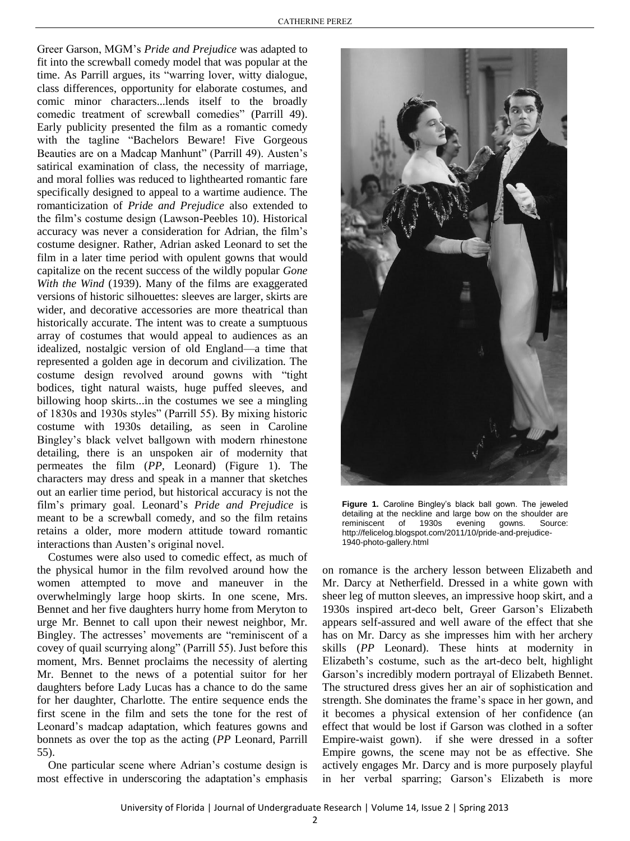Greer Garson, MGM's *Pride and Prejudice* was adapted to fit into the screwball comedy model that was popular at the time. As Parrill argues, its "warring lover, witty dialogue, class differences, opportunity for elaborate costumes, and comic minor characters...lends itself to the broadly comedic treatment of screwball comedies" (Parrill 49). Early publicity presented the film as a romantic comedy with the tagline "Bachelors Beware! Five Gorgeous Beauties are on a Madcap Manhunt" (Parrill 49). Austen's satirical examination of class, the necessity of marriage, and moral follies was reduced to lighthearted romantic fare specifically designed to appeal to a wartime audience. The romanticization of *Pride and Prejudice* also extended to the film's costume design (Lawson-Peebles 10). Historical accuracy was never a consideration for Adrian, the film's costume designer. Rather, Adrian asked Leonard to set the film in a later time period with opulent gowns that would capitalize on the recent success of the wildly popular *Gone With the Wind* (1939). Many of the films are exaggerated versions of historic silhouettes: sleeves are larger, skirts are wider, and decorative accessories are more theatrical than historically accurate. The intent was to create a sumptuous array of costumes that would appeal to audiences as an idealized, nostalgic version of old England—a time that represented a golden age in decorum and civilization. The costume design revolved around gowns with "tight bodices, tight natural waists, huge puffed sleeves, and billowing hoop skirts...in the costumes we see a mingling of 1830s and 1930s styles" (Parrill 55). By mixing historic costume with 1930s detailing, as seen in Caroline Bingley's black velvet ballgown with modern rhinestone detailing, there is an unspoken air of modernity that permeates the film (*PP,* Leonard) (Figure 1). The characters may dress and speak in a manner that sketches out an earlier time period, but historical accuracy is not the film's primary goal. Leonard's *Pride and Prejudice* is meant to be a screwball comedy, and so the film retains retains a older, more modern attitude toward romantic interactions than Austen's original novel.

Costumes were also used to comedic effect, as much of the physical humor in the film revolved around how the women attempted to move and maneuver in the overwhelmingly large hoop skirts. In one scene, Mrs. Bennet and her five daughters hurry home from Meryton to urge Mr. Bennet to call upon their newest neighbor, Mr. Bingley. The actresses' movements are "reminiscent of a covey of quail scurrying along" (Parrill 55). Just before this moment, Mrs. Bennet proclaims the necessity of alerting Mr. Bennet to the news of a potential suitor for her daughters before Lady Lucas has a chance to do the same for her daughter, Charlotte. The entire sequence ends the first scene in the film and sets the tone for the rest of Leonard's madcap adaptation, which features gowns and bonnets as over the top as the acting (*PP* Leonard, Parrill 55).

One particular scene where Adrian's costume design is most effective in underscoring the adaptation's emphasis



**Figure 1.** Caroline Bingley's black ball gown. The jeweled detailing at the neckline and large bow on the shoulder are reminiscent of 1930s evening gowns. Source: http://felicelog.blogspot.com/2011/10/pride-and-prejudice-1940-photo-gallery.html

on romance is the archery lesson between Elizabeth and Mr. Darcy at Netherfield. Dressed in a white gown with sheer leg of mutton sleeves, an impressive hoop skirt, and a 1930s inspired art-deco belt, Greer Garson's Elizabeth appears self-assured and well aware of the effect that she has on Mr. Darcy as she impresses him with her archery skills (*PP* Leonard). These hints at modernity in Elizabeth's costume, such as the art-deco belt, highlight Garson's incredibly modern portrayal of Elizabeth Bennet. The structured dress gives her an air of sophistication and strength. She dominates the frame's space in her gown, and it becomes a physical extension of her confidence (an effect that would be lost if Garson was clothed in a softer Empire-waist gown). if she were dressed in a softer Empire gowns, the scene may not be as effective. She actively engages Mr. Darcy and is more purposely playful in her verbal sparring; Garson's Elizabeth is more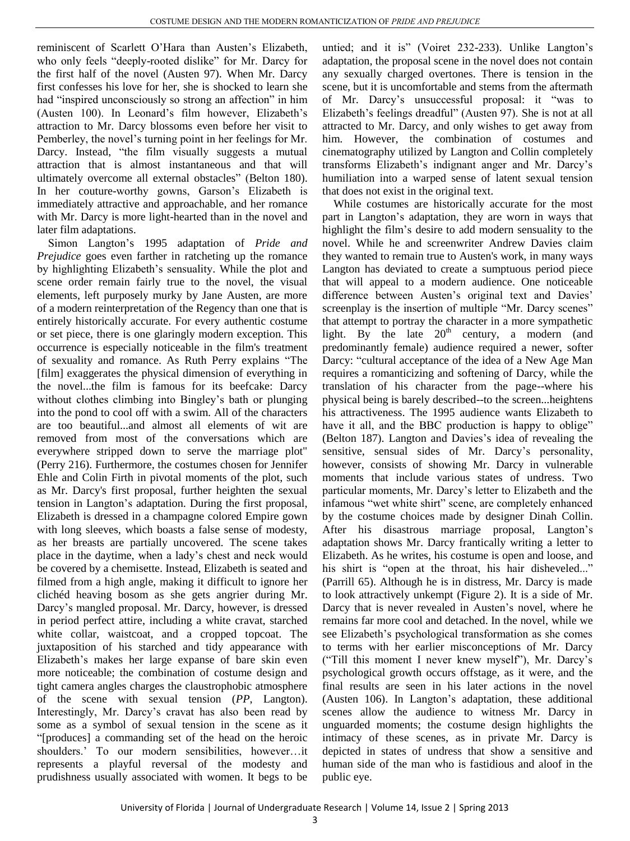reminiscent of Scarlett O'Hara than Austen's Elizabeth, who only feels "deeply-rooted dislike" for Mr. Darcy for the first half of the novel (Austen 97). When Mr. Darcy first confesses his love for her, she is shocked to learn she had "inspired unconsciously so strong an affection" in him (Austen 100). In Leonard's film however, Elizabeth's attraction to Mr. Darcy blossoms even before her visit to Pemberley, the novel's turning point in her feelings for Mr. Darcy. Instead, "the film visually suggests a mutual attraction that is almost instantaneous and that will ultimately overcome all external obstacles" (Belton 180). In her couture-worthy gowns, Garson's Elizabeth is immediately attractive and approachable, and her romance with Mr. Darcy is more light-hearted than in the novel and later film adaptations.

Simon Langton's 1995 adaptation of *Pride and Prejudice* goes even farther in ratcheting up the romance by highlighting Elizabeth's sensuality. While the plot and scene order remain fairly true to the novel, the visual elements, left purposely murky by Jane Austen, are more of a modern reinterpretation of the Regency than one that is entirely historically accurate. For every authentic costume or set piece, there is one glaringly modern exception. This occurrence is especially noticeable in the film's treatment of sexuality and romance. As Ruth Perry explains "The [film] exaggerates the physical dimension of everything in the novel...the film is famous for its beefcake: Darcy without clothes climbing into Bingley's bath or plunging into the pond to cool off with a swim. All of the characters are too beautiful...and almost all elements of wit are removed from most of the conversations which are everywhere stripped down to serve the marriage plot" (Perry 216). Furthermore, the costumes chosen for Jennifer Ehle and Colin Firth in pivotal moments of the plot, such as Mr. Darcy's first proposal, further heighten the sexual tension in Langton's adaptation. During the first proposal, Elizabeth is dressed in a champagne colored Empire gown with long sleeves, which boasts a false sense of modesty, as her breasts are partially uncovered. The scene takes place in the daytime, when a lady's chest and neck would be covered by a chemisette. Instead, Elizabeth is seated and filmed from a high angle, making it difficult to ignore her clichéd heaving bosom as she gets angrier during Mr. Darcy's mangled proposal. Mr. Darcy, however, is dressed in period perfect attire, including a white cravat, starched white collar, waistcoat, and a cropped topcoat. The juxtaposition of his starched and tidy appearance with Elizabeth's makes her large expanse of bare skin even more noticeable; the combination of costume design and tight camera angles charges the claustrophobic atmosphere of the scene with sexual tension (*PP*, Langton). Interestingly, Mr. Darcy's cravat has also been read by some as a symbol of sexual tension in the scene as it "[produces] a commanding set of the head on the heroic shoulders.' To our modern sensibilities, however…it represents a playful reversal of the modesty and prudishness usually associated with women. It begs to be

untied; and it is" (Voiret 232-233). Unlike Langton's adaptation, the proposal scene in the novel does not contain any sexually charged overtones. There is tension in the scene, but it is uncomfortable and stems from the aftermath of Mr. Darcy's unsuccessful proposal: it "was to Elizabeth's feelings dreadful" (Austen 97). She is not at all attracted to Mr. Darcy, and only wishes to get away from him. However, the combination of costumes and cinematography utilized by Langton and Collin completely transforms Elizabeth's indignant anger and Mr. Darcy's humiliation into a warped sense of latent sexual tension that does not exist in the original text.

While costumes are historically accurate for the most part in Langton's adaptation, they are worn in ways that highlight the film's desire to add modern sensuality to the novel. While he and screenwriter Andrew Davies claim they wanted to remain true to Austen's work, in many ways Langton has deviated to create a sumptuous period piece that will appeal to a modern audience. One noticeable difference between Austen's original text and Davies' screenplay is the insertion of multiple "Mr. Darcy scenes" that attempt to portray the character in a more sympathetic light. By the late  $20<sup>th</sup>$  century, a modern (and predominantly female) audience required a newer, softer Darcy: "cultural acceptance of the idea of a New Age Man requires a romanticizing and softening of Darcy, while the translation of his character from the page--where his physical being is barely described--to the screen...heightens his attractiveness. The 1995 audience wants Elizabeth to have it all, and the BBC production is happy to oblige" (Belton 187). Langton and Davies's idea of revealing the sensitive, sensual sides of Mr. Darcy's personality, however, consists of showing Mr. Darcy in vulnerable moments that include various states of undress. Two particular moments, Mr. Darcy's letter to Elizabeth and the infamous "wet white shirt" scene, are completely enhanced by the costume choices made by designer Dinah Collin. After his disastrous marriage proposal, Langton's adaptation shows Mr. Darcy frantically writing a letter to Elizabeth. As he writes, his costume is open and loose, and his shirt is "open at the throat, his hair disheveled..." (Parrill 65). Although he is in distress, Mr. Darcy is made to look attractively unkempt (Figure 2). It is a side of Mr. Darcy that is never revealed in Austen's novel, where he remains far more cool and detached. In the novel, while we see Elizabeth's psychological transformation as she comes to terms with her earlier misconceptions of Mr. Darcy ("Till this moment I never knew myself"), Mr. Darcy's psychological growth occurs offstage, as it were, and the final results are seen in his later actions in the novel (Austen 106). In Langton's adaptation, these additional scenes allow the audience to witness Mr. Darcy in unguarded moments; the costume design highlights the intimacy of these scenes, as in private Mr. Darcy is depicted in states of undress that show a sensitive and human side of the man who is fastidious and aloof in the public eye.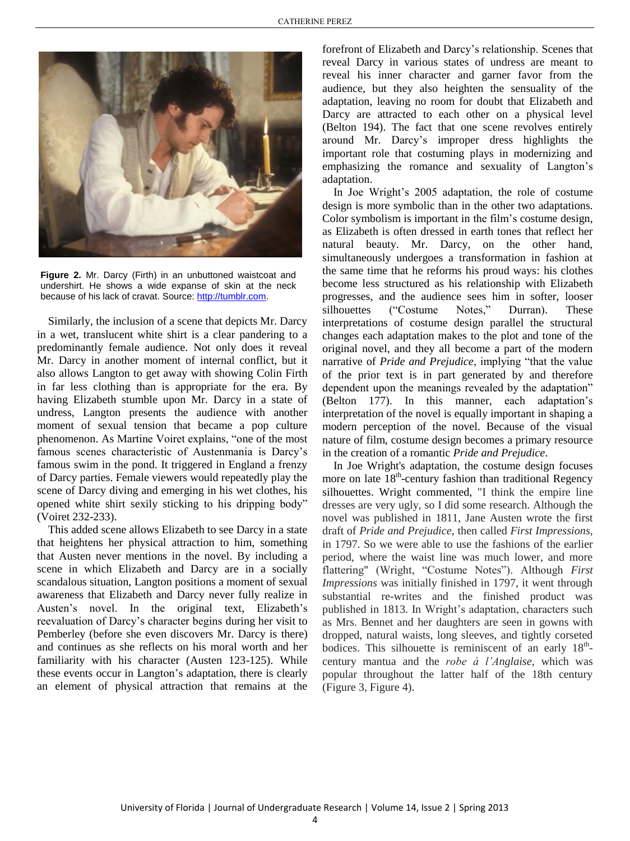

**Figure 2.** Mr. Darcy (Firth) in an unbuttoned waistcoat and undershirt. He shows a wide expanse of skin at the neck because of his lack of cravat. Source: [http://tumblr.com.](http://tumblr.com/)

Similarly, the inclusion of a scene that depicts Mr. Darcy in a wet, translucent white shirt is a clear pandering to a predominantly female audience. Not only does it reveal Mr. Darcy in another moment of internal conflict, but it also allows Langton to get away with showing Colin Firth in far less clothing than is appropriate for the era. By having Elizabeth stumble upon Mr. Darcy in a state of undress, Langton presents the audience with another moment of sexual tension that became a pop culture phenomenon. As Martine Voiret explains, "one of the most famous scenes characteristic of Austenmania is Darcy's famous swim in the pond. It triggered in England a frenzy of Darcy parties. Female viewers would repeatedly play the scene of Darcy diving and emerging in his wet clothes, his opened white shirt sexily sticking to his dripping body" (Voiret 232-233).

This added scene allows Elizabeth to see Darcy in a state that heightens her physical attraction to him, something that Austen never mentions in the novel. By including a scene in which Elizabeth and Darcy are in a socially scandalous situation, Langton positions a moment of sexual awareness that Elizabeth and Darcy never fully realize in Austen's novel. In the original text, Elizabeth's reevaluation of Darcy's character begins during her visit to Pemberley (before she even discovers Mr. Darcy is there) and continues as she reflects on his moral worth and her familiarity with his character (Austen 123-125). While these events occur in Langton's adaptation, there is clearly an element of physical attraction that remains at the forefront of Elizabeth and Darcy's relationship. Scenes that reveal Darcy in various states of undress are meant to reveal his inner character and garner favor from the audience, but they also heighten the sensuality of the adaptation, leaving no room for doubt that Elizabeth and Darcy are attracted to each other on a physical level (Belton 194). The fact that one scene revolves entirely around Mr. Darcy's improper dress highlights the important role that costuming plays in modernizing and emphasizing the romance and sexuality of Langton's adaptation.

In Joe Wright's 2005 adaptation, the role of costume design is more symbolic than in the other two adaptations. Color symbolism is important in the film's costume design, as Elizabeth is often dressed in earth tones that reflect her natural beauty. Mr. Darcy, on the other hand, simultaneously undergoes a transformation in fashion at the same time that he reforms his proud ways: his clothes become less structured as his relationship with Elizabeth progresses, and the audience sees him in softer, looser silhouettes ("Costume Notes," Durran). These interpretations of costume design parallel the structural changes each adaptation makes to the plot and tone of the original novel, and they all become a part of the modern narrative of *Pride and Prejudice*, implying "that the value of the prior text is in part generated by and therefore dependent upon the meanings revealed by the adaptation" (Belton 177). In this manner, each adaptation's interpretation of the novel is equally important in shaping a modern perception of the novel. Because of the visual nature of film, costume design becomes a primary resource in the creation of a romantic *Pride and Prejudice*.

In Joe Wright's adaptation*,* the costume design focuses more on late  $18<sup>th</sup>$ -century fashion than traditional Regency silhouettes. Wright commented, "I think the empire line dresses are very ugly, so I did some research. Although the novel was published in 1811, Jane Austen wrote the first draft of *Pride and Prejudice,* then called *First Impressions*, in 1797. So we were able to use the fashions of the earlier period, where the waist line was much lower, and more flattering" (Wright, "Costume Notes"). Although *First Impressions* was initially finished in 1797, it went through substantial re-writes and the finished product was published in 1813. In Wright's adaptation, characters such as Mrs. Bennet and her daughters are seen in gowns with dropped, natural waists, long sleeves, and tightly corseted bodices. This silhouette is reminiscent of an early 18<sup>th</sup>century mantua and the *robe à l'Anglaise,* which was popular throughout the latter half of the 18th century (Figure 3, Figure 4).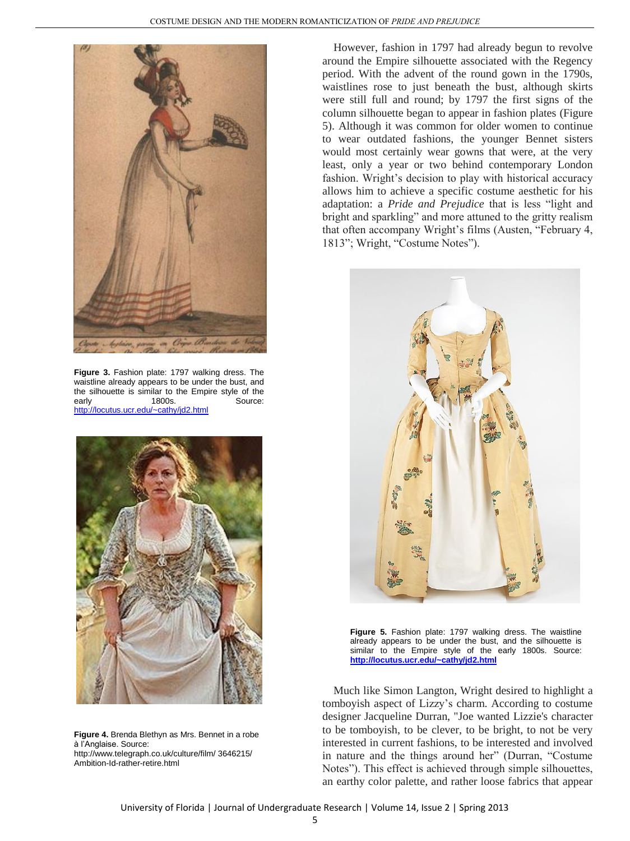

**Figure 3.** Fashion plate: 1797 walking dress. The waistline already appears to be under the bust, and the silhouette is similar to the Empire style of the early 1800s. Source: <http://locutus.ucr.edu/~cathy/jd2.html>



**Figure 4.** Brenda Blethyn as Mrs. Bennet in a robe à l'Anglaise. Source: http://www.telegraph.co.uk/culture/film/ 3646215/ Ambition-Id-rather-retire.html

However, fashion in 1797 had already begun to revolve around the Empire silhouette associated with the Regency period. With the advent of the round gown in the 1790s, waistlines rose to just beneath the bust, although skirts were still full and round; by 1797 the first signs of the column silhouette began to appear in fashion plates (Figure 5). Although it was common for older women to continue to wear outdated fashions, the younger Bennet sisters would most certainly wear gowns that were, at the very least, only a year or two behind contemporary London fashion. Wright's decision to play with historical accuracy allows him to achieve a specific costume aesthetic for his adaptation: a *Pride and Prejudice* that is less "light and bright and sparkling" and more attuned to the gritty realism that often accompany Wright's films (Austen, "February 4, 1813"; Wright, "Costume Notes").



**Figure 5.** Fashion plate: 1797 walking dress. The waistline already appears to be under the bust, and the silhouette is similar to the Empire style of the early 1800s. Source: **<http://locutus.ucr.edu/~cathy/jd2.html>**

Much like Simon Langton, Wright desired to highlight a tomboyish aspect of Lizzy's charm. According to costume designer Jacqueline Durran, "Joe wanted Lizzie's character to be tomboyish, to be clever, to be bright, to not be very interested in current fashions, to be interested and involved in nature and the things around her" (Durran, "Costume Notes"). This effect is achieved through simple silhouettes, an earthy color palette, and rather loose fabrics that appear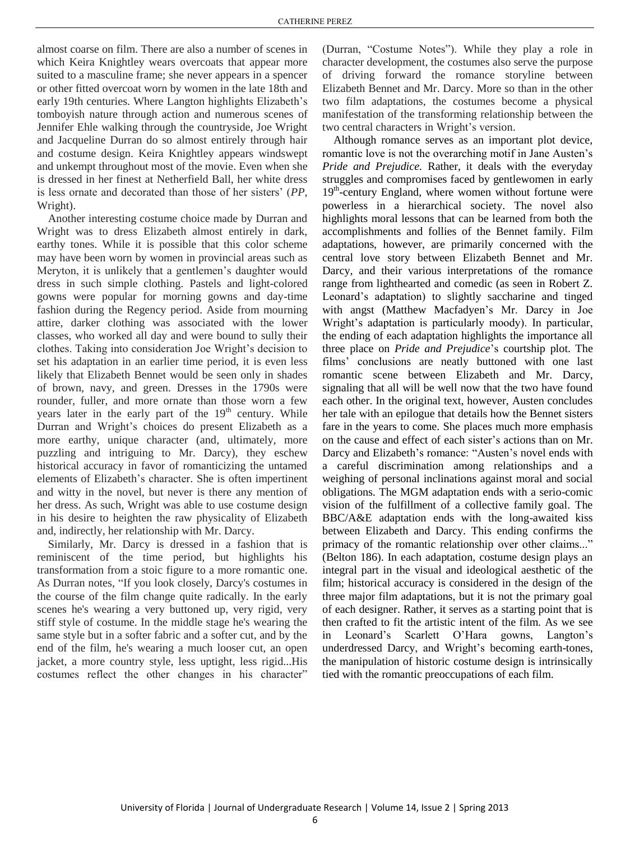almost coarse on film. There are also a number of scenes in which Keira Knightley wears overcoats that appear more suited to a masculine frame; she never appears in a spencer or other fitted overcoat worn by women in the late 18th and early 19th centuries. Where Langton highlights Elizabeth's tomboyish nature through action and numerous scenes of Jennifer Ehle walking through the countryside, Joe Wright and Jacqueline Durran do so almost entirely through hair and costume design. Keira Knightley appears windswept and unkempt throughout most of the movie. Even when she is dressed in her finest at Netherfield Ball, her white dress is less ornate and decorated than those of her sisters' (*PP*, Wright).

Another interesting costume choice made by Durran and Wright was to dress Elizabeth almost entirely in dark, earthy tones. While it is possible that this color scheme may have been worn by women in provincial areas such as Meryton, it is unlikely that a gentlemen's daughter would dress in such simple clothing. Pastels and light-colored gowns were popular for morning gowns and day-time fashion during the Regency period. Aside from mourning attire, darker clothing was associated with the lower classes, who worked all day and were bound to sully their clothes. Taking into consideration Joe Wright's decision to set his adaptation in an earlier time period, it is even less likely that Elizabeth Bennet would be seen only in shades of brown, navy, and green. Dresses in the 1790s were rounder, fuller, and more ornate than those worn a few years later in the early part of the  $19<sup>th</sup>$  century. While Durran and Wright's choices do present Elizabeth as a more earthy, unique character (and, ultimately, more puzzling and intriguing to Mr. Darcy), they eschew historical accuracy in favor of romanticizing the untamed elements of Elizabeth's character. She is often impertinent and witty in the novel, but never is there any mention of her dress. As such, Wright was able to use costume design in his desire to heighten the raw physicality of Elizabeth and, indirectly, her relationship with Mr. Darcy.

Similarly, Mr. Darcy is dressed in a fashion that is reminiscent of the time period, but highlights his transformation from a stoic figure to a more romantic one. As Durran notes, "If you look closely, Darcy's costumes in the course of the film change quite radically. In the early scenes he's wearing a very buttoned up, very rigid, very stiff style of costume. In the middle stage he's wearing the same style but in a softer fabric and a softer cut, and by the end of the film, he's wearing a much looser cut, an open jacket, a more country style, less uptight, less rigid...His costumes reflect the other changes in his character"

(Durran, "Costume Notes"). While they play a role in character development, the costumes also serve the purpose of driving forward the romance storyline between Elizabeth Bennet and Mr. Darcy. More so than in the other two film adaptations, the costumes become a physical manifestation of the transforming relationship between the two central characters in Wright's version.

Although romance serves as an important plot device, romantic love is not the overarching motif in Jane Austen's *Pride and Prejudice.* Rather, it deals with the everyday struggles and compromises faced by gentlewomen in early 19<sup>th</sup>-century England, where women without fortune were powerless in a hierarchical society. The novel also highlights moral lessons that can be learned from both the accomplishments and follies of the Bennet family. Film adaptations, however, are primarily concerned with the central love story between Elizabeth Bennet and Mr. Darcy, and their various interpretations of the romance range from lighthearted and comedic (as seen in Robert Z. Leonard's adaptation) to slightly saccharine and tinged with angst (Matthew Macfadyen's Mr. Darcy in Joe Wright's adaptation is particularly moody). In particular, the ending of each adaptation highlights the importance all three place on *Pride and Prejudice*'s courtship plot. The films' conclusions are neatly buttoned with one last romantic scene between Elizabeth and Mr. Darcy, signaling that all will be well now that the two have found each other. In the original text, however, Austen concludes her tale with an epilogue that details how the Bennet sisters fare in the years to come. She places much more emphasis on the cause and effect of each sister's actions than on Mr. Darcy and Elizabeth's romance: "Austen's novel ends with a careful discrimination among relationships and a weighing of personal inclinations against moral and social obligations. The MGM adaptation ends with a serio-comic vision of the fulfillment of a collective family goal. The BBC/A&E adaptation ends with the long-awaited kiss between Elizabeth and Darcy. This ending confirms the primacy of the romantic relationship over other claims..." (Belton 186). In each adaptation, costume design plays an integral part in the visual and ideological aesthetic of the film; historical accuracy is considered in the design of the three major film adaptations, but it is not the primary goal of each designer. Rather, it serves as a starting point that is then crafted to fit the artistic intent of the film. As we see in Leonard's Scarlett O'Hara gowns, Langton's underdressed Darcy, and Wright's becoming earth-tones, the manipulation of historic costume design is intrinsically tied with the romantic preoccupations of each film.